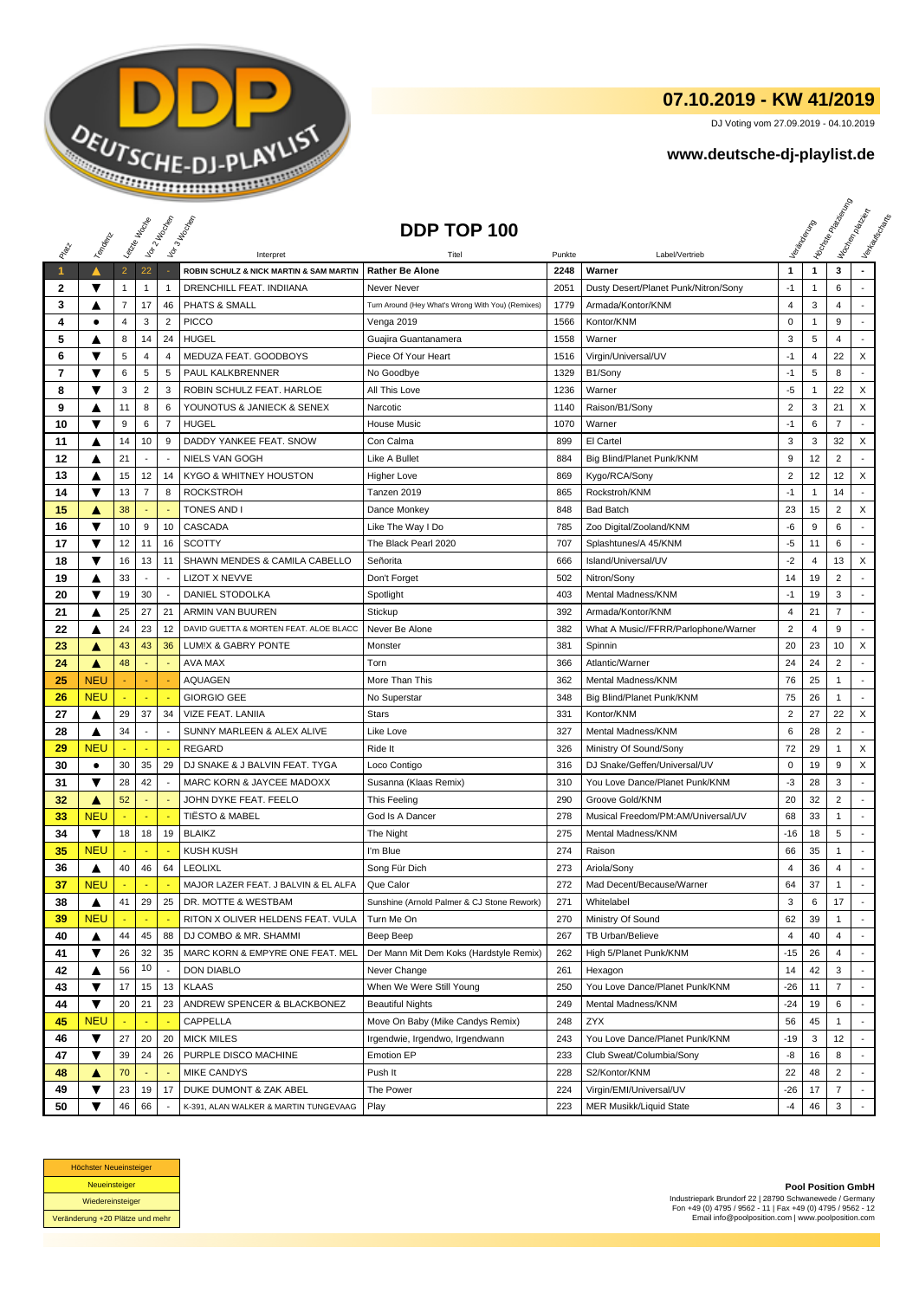

## **07.10.2019 - KW 41/2019**

DJ Voting vom 27.09.2019 - 04.10.2019

## **www.deutsche-dj-playlist.de**

|                      |            | Leizie Hacope                  |                          | Vor 2 Hacocop            | Vor3 Incolas                                            | DDP TOP 100                                                      |              |                                      |                  |                   | <b>Honse</b><br>Management Management | Workenberg<br>Verkouwerd arts |
|----------------------|------------|--------------------------------|--------------------------|--------------------------|---------------------------------------------------------|------------------------------------------------------------------|--------------|--------------------------------------|------------------|-------------------|---------------------------------------|-------------------------------|
| RIBLE                | Temporal   |                                |                          |                          |                                                         |                                                                  |              |                                      |                  |                   |                                       |                               |
|                      |            |                                | 22                       |                          | Interpret<br>ROBIN SCHULZ & NICK MARTIN & SAM MARTIN    | Titel                                                            | Punkte       | Label/Vertrieb<br>Warner             |                  | $\mathbf{1}$      | 3                                     |                               |
| $\blacktriangleleft$ | ▼          | $\overline{2}$                 |                          | $\mathbf{1}$             | <b>DRENCHILL FEAT, INDIIANA</b>                         | <b>Rather Be Alone</b>                                           | 2248<br>2051 | Dusty Desert/Planet Punk/Nitron/Sony | 1                |                   | 6                                     |                               |
| 2<br>3               |            | $\mathbf{1}$<br>$\overline{7}$ | $\mathbf{1}$<br>17       | 46                       | PHATS & SMALL                                           | Never Never<br>Turn Around (Hey What's Wrong With You) (Remixes) | 1779         | Armada/Kontor/KNM                    | $-1$<br>4        | $\mathbf{1}$<br>3 | 4                                     |                               |
| 4                    | A<br>٠     | $\overline{4}$                 | 3                        | $\overline{2}$           | <b>PICCO</b>                                            |                                                                  | 1566         | Kontor/KNM                           | $\pmb{0}$        | $\mathbf{1}$      | 9                                     |                               |
| 5                    |            | 8                              | 14                       | 24                       | <b>HUGEL</b>                                            | Venga 2019                                                       | 1558         | Warner                               | 3                | 5                 | 4                                     |                               |
|                      | A<br>▼     |                                |                          |                          |                                                         | Guajira Guantanamera                                             |              |                                      |                  |                   |                                       | X                             |
| 6                    | ▼          | $\sqrt{5}$                     | 4                        | $\overline{4}$           | MEDUZA FEAT. GOODBOYS<br>PAUL KALKBRENNER               | Piece Of Your Heart                                              | 1516         | Virgin/Universal/UV                  | $-1$<br>$-1$     | 4                 | 22                                    |                               |
| 7                    | ▼          | 6                              | $\sqrt{5}$               | $\sqrt{5}$               |                                                         | No Goodbye                                                       | 1329         | B1/Sony                              |                  | 5                 | 8                                     |                               |
| 8<br>9               |            | 3<br>11                        | $\overline{2}$<br>8      | 3<br>6                   | ROBIN SCHULZ FEAT. HARLOE<br>YOUNOTUS & JANIECK & SENEX | All This Love<br>Narcotic                                        | 1236         | Warner                               | -5<br>$\sqrt{2}$ | 1<br>3            | 22<br>21                              | X<br>X                        |
|                      | ▲<br>▼     |                                |                          |                          |                                                         |                                                                  | 1140         | Raison/B1/Sony                       | $-1$             |                   | $\overline{7}$                        |                               |
| 10                   |            | 9                              | 6                        | $\overline{7}$           | <b>HUGEL</b>                                            | <b>House Music</b>                                               | 1070         | Warner                               |                  | 6                 |                                       |                               |
| 11                   | ▲          | 14                             | 10                       | 9                        | DADDY YANKEE FEAT. SNOW                                 | Con Calma                                                        | 899          | El Cartel                            | 3                | 3                 | 32                                    | X                             |
| 12                   | ▲          | 21                             | $\blacksquare$           | $\overline{a}$           | NIELS VAN GOGH                                          | Like A Bullet                                                    | 884          | Big Blind/Planet Punk/KNM            | 9                | 12                | $\overline{2}$                        |                               |
| 13                   | ▲          | 15                             | 12                       | 14                       | KYGO & WHITNEY HOUSTON                                  | Higher Love                                                      | 869          | Kygo/RCA/Sony                        | $\overline{2}$   | 12                | 12                                    | X                             |
| 14                   | ▼          | 13                             | $\overline{7}$           | 8                        | <b>ROCKSTROH</b>                                        | Tanzen 2019                                                      | 865          | Rockstroh/KNM                        | $-1$             | $\mathbf{1}$      | 14                                    | ÷                             |
| 15                   | A          | 38                             |                          |                          | <b>TONES AND I</b>                                      | Dance Monkey                                                     | 848          | <b>Bad Batch</b>                     | 23               | 15                | $\overline{c}$                        | X                             |
| 16                   | ▼          | 10                             | 9                        | 10                       | CASCADA                                                 | Like The Way I Do                                                | 785          | Zoo Digital/Zooland/KNM              | -6               | 9                 | 6                                     |                               |
| 17                   | ▼          | 12                             | 11                       | 16                       | <b>SCOTTY</b>                                           | The Black Pearl 2020                                             | 707          | Splashtunes/A 45/KNM                 | $-5$             | 11                | 6                                     | ÷                             |
| 18                   | ▼          | 16                             | 13                       | 11                       | SHAWN MENDES & CAMILA CABELLO                           | Señorita                                                         | 666          | Island/Universal/UV                  | $-2$             | $\overline{4}$    | 13                                    | X                             |
| 19                   | ▲          | 33                             | $\overline{\phantom{a}}$ | $\overline{\phantom{a}}$ | <b>LIZOT X NEVVE</b>                                    | Don't Forget                                                     | 502          | Nitron/Sony                          | 14               | 19                | $\overline{c}$                        |                               |
| 20                   | ▼          | 19                             | 30                       |                          | DANIEL STODOLKA                                         | Spotlight                                                        | 403          | Mental Madness/KNM                   | $-1$             | 19                | 3                                     | ÷,                            |
| 21                   | ▲          | 25                             | 27                       | 21                       | ARMIN VAN BUUREN                                        | Stickup                                                          | 392          | Armada/Kontor/KNM                    | 4                | 21                | $\overline{7}$                        | $\overline{a}$                |
| 22                   | ▲          | 24                             | 23                       | 12                       | DAVID GUETTA & MORTEN FEAT, ALOE BLACC                  | Never Be Alone                                                   | 382          | What A Music//FFRR/Parlophone/Warner | $\overline{2}$   | $\overline{4}$    | 9                                     | $\overline{\phantom{a}}$      |
| 23                   | A          | 43                             | 43                       | 36                       | LUM!X & GABRY PONTE                                     | Monster                                                          | 381          | Spinnin                              | 20               | 23                | 10                                    | X                             |
| 24                   | A          | 48                             |                          |                          | AVA MAX                                                 | Torn                                                             | 366          | Atlantic/Warner                      | 24               | 24                | $\overline{c}$                        |                               |
| 25                   | <b>NEU</b> |                                |                          |                          | <b>AQUAGEN</b>                                          | More Than This                                                   | 362          | Mental Madness/KNM                   | 76               | 25                | $\mathbf{1}$                          | $\overline{\phantom{a}}$      |
| 26                   | <b>NEU</b> |                                | $\omega$                 | ٠.                       | <b>GIORGIO GEE</b>                                      | No Superstar                                                     | 348          | Big Blind/Planet Punk/KNM            | 75               | 26                | $\mathbf{1}$                          | $\overline{\phantom{a}}$      |
| 27                   | ▲          | 29                             | 37                       | 34                       | VIZE FEAT. LANIIA                                       | <b>Stars</b>                                                     | 331          | Kontor/KNM                           | $\overline{2}$   | 27                | 22                                    | X                             |
| 28                   | ▲          | 34                             | $\blacksquare$           | $\overline{\phantom{a}}$ | SUNNY MARLEEN & ALEX ALIVE                              | Like Love                                                        | 327          | Mental Madness/KNM                   | 6                | 28                | $\overline{2}$                        | $\blacksquare$                |
| 29                   | <b>NEU</b> |                                |                          |                          | <b>REGARD</b>                                           | Ride It                                                          | 326          | Ministry Of Sound/Sony               | 72               | 29                | $\mathbf{1}$                          | X                             |
| 30                   | $\bullet$  | 30                             | 35                       | 29                       | DJ SNAKE & J BALVIN FEAT. TYGA                          | Loco Contigo                                                     | 316          | DJ Snake/Geffen/Universal/UV         | $\pmb{0}$        | 19                | 9                                     | X                             |
| 31                   | ▼          | 28                             | 42                       | $\overline{\phantom{a}}$ | MARC KORN & JAYCEE MADOXX                               | Susanna (Klaas Remix)                                            | 310          | You Love Dance/Planet Punk/KNM       | -3               | 28                | 3                                     |                               |
| 32                   | ▲          | 52                             |                          |                          | JOHN DYKE FEAT. FEELO                                   | This Feeling                                                     | 290          | Groove Gold/KNM                      | 20               | 32                | $\overline{c}$                        | $\sim$                        |
| 33                   | <b>NEU</b> |                                |                          |                          | <b>TIËSTO &amp; MABEL</b>                               | God Is A Dancer                                                  | 278          | Musical Freedom/PM:AM/Universal/UV   | 68               | 33                | $\mathbf{1}$                          | $\blacksquare$                |
| 34                   | ▼          | 18                             | 18                       | 19                       | <b>BLAIKZ</b>                                           | The Night                                                        | 275          | Mental Madness/KNM                   | $-16$            | 18                | 5                                     | $\mathbf{r}$                  |
| 35                   | <b>NEU</b> |                                |                          |                          | <b>KUSH KUSH</b>                                        | I'm Blue                                                         | 274          | Raison                               | 66               | 35                | 1                                     |                               |
| 36                   | ▲          | 40                             | 46                       | 64                       | <b>LEOLIXL</b>                                          | Song Für Dich                                                    | 273          | Ariola/Sony                          | $\overline{4}$   | 36                | 4                                     |                               |
| 37                   | <b>NEU</b> |                                |                          |                          | MAJOR LAZER FEAT. J BALVIN & EL ALFA                    | Que Calor                                                        | 272          | Mad Decent/Because/Warner            | 64               | 37                | 1                                     | ÷                             |
| 38                   | ▲          | 41                             | 29                       | 25                       | DR. MOTTE & WESTBAM                                     | Sunshine (Arnold Palmer & CJ Stone Rework)                       | 271          | Whitelabel                           | 3                | 6                 | 17                                    |                               |
| 39                   | <b>NEU</b> |                                |                          |                          | RITON X OLIVER HELDENS FEAT. VULA                       | Turn Me On                                                       | 270          | Ministry Of Sound                    | 62               | 39                | $\mathbf{1}$                          |                               |
| 40                   | ▲          | 44                             | 45                       | 88                       | DJ COMBO & MR. SHAMMI                                   | Beep Beep                                                        | 267          | TB Urban/Believe                     | 4                | 40                | 4                                     |                               |
| 41                   | ▼          | 26                             | 32                       | 35                       | MARC KORN & EMPYRE ONE FEAT. MEL                        | Der Mann Mit Dem Koks (Hardstyle Remix)                          | 262          | High 5/Planet Punk/KNM               | -15              | 26                | 4                                     |                               |
| 42                   | ▲          | 56                             | 10                       | $\overline{\phantom{a}}$ | DON DIABLO                                              | Never Change                                                     | 261          | Hexagon                              | 14               | 42                | 3                                     |                               |
| 43                   | ▼          | 17                             | 15                       | 13                       | <b>KLAAS</b>                                            | When We Were Still Young                                         | 250          | You Love Dance/Planet Punk/KNM       | -26              | 11                | 7                                     |                               |
| 44                   | ▼          | 20                             | 21                       | 23                       | ANDREW SPENCER & BLACKBONEZ                             | <b>Beautiful Nights</b>                                          | 249          | Mental Madness/KNM                   | $-24$            | 19                | 6                                     |                               |
| 45                   | <b>NEU</b> |                                |                          |                          | CAPPELLA                                                | Move On Baby (Mike Candys Remix)                                 | 248          | <b>ZYX</b>                           | 56               | 45                | 1                                     |                               |
| 46                   | ▼          | 27                             | 20                       | 20                       | <b>MICK MILES</b>                                       | Irgendwie, Irgendwo, Irgendwann                                  | 243          | You Love Dance/Planet Punk/KNM       | $-19$            | 3                 | 12                                    | ٠                             |
| 47                   | ▼          | 39                             | 24                       | 26                       | PURPLE DISCO MACHINE                                    | Emotion EP                                                       | 233          | Club Sweat/Columbia/Sony             | -8               | 16                | 8                                     |                               |
| 48                   | ▲          | 70                             |                          |                          | MIKE CANDYS                                             | Push It                                                          | 228          | S2/Kontor/KNM                        | 22               | 48                | 2                                     |                               |
| 49                   | ▼          | 23                             | 19                       | 17                       | DUKE DUMONT & ZAK ABEL                                  | The Power                                                        | 224          | Virgin/EMI/Universal/UV              | -26              | 17                | 7                                     |                               |
| 50                   | ▼          | 46                             | 66                       |                          | K-391, ALAN WALKER & MARTIN TUNGEVAAG                   | Play                                                             | 223          | MER Musikk/Liquid State              | -4               | 46                | 3                                     |                               |



**Pool Position GmbH** Industriepark Brundorf 22 | 28790 Schwanewede / Germany Fon +49 (0) 4795 / 9562 - 11 | Fax +49 (0) 4795 / 9562 - 12 Email info@poolposition.com | www.poolposition.com